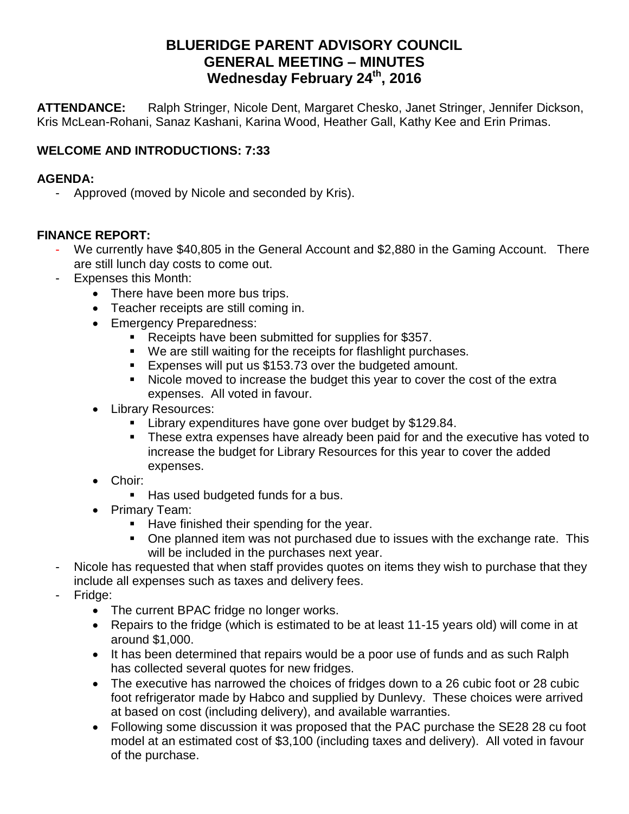# **BLUERIDGE PARENT ADVISORY COUNCIL GENERAL MEETING – MINUTES Wednesday February 24 th, 2016**

**ATTENDANCE:** Ralph Stringer, Nicole Dent, Margaret Chesko, Janet Stringer, Jennifer Dickson, Kris McLean-Rohani, Sanaz Kashani, Karina Wood, Heather Gall, Kathy Kee and Erin Primas.

## **WELCOME AND INTRODUCTIONS: 7:33**

#### **AGENDA:**

- Approved (moved by Nicole and seconded by Kris).

#### **FINANCE REPORT:**

- We currently have \$40,805 in the General Account and \$2,880 in the Gaming Account. There are still lunch day costs to come out.
- Expenses this Month:
	- There have been more bus trips.
	- Teacher receipts are still coming in.
	- Emergency Preparedness:
		- Receipts have been submitted for supplies for \$357.
		- We are still waiting for the receipts for flashlight purchases.
		- Expenses will put us \$153.73 over the budgeted amount.
		- Nicole moved to increase the budget this year to cover the cost of the extra expenses. All voted in favour.
	- Library Resources:
		- **Library expenditures have gone over budget by \$129.84.**
		- These extra expenses have already been paid for and the executive has voted to increase the budget for Library Resources for this year to cover the added expenses.
	- Choir:
		- Has used budgeted funds for a bus.
	- Primary Team:
		- $\blacksquare$  Have finished their spending for the year.
		- One planned item was not purchased due to issues with the exchange rate. This will be included in the purchases next year.
- Nicole has requested that when staff provides quotes on items they wish to purchase that they include all expenses such as taxes and delivery fees.
- Fridge:
	- The current BPAC fridge no longer works.
	- Repairs to the fridge (which is estimated to be at least 11-15 years old) will come in at around \$1,000.
	- It has been determined that repairs would be a poor use of funds and as such Ralph has collected several quotes for new fridges.
	- The executive has narrowed the choices of fridges down to a 26 cubic foot or 28 cubic foot refrigerator made by Habco and supplied by Dunlevy. These choices were arrived at based on cost (including delivery), and available warranties.
	- Following some discussion it was proposed that the PAC purchase the SE28 28 cu foot model at an estimated cost of \$3,100 (including taxes and delivery). All voted in favour of the purchase.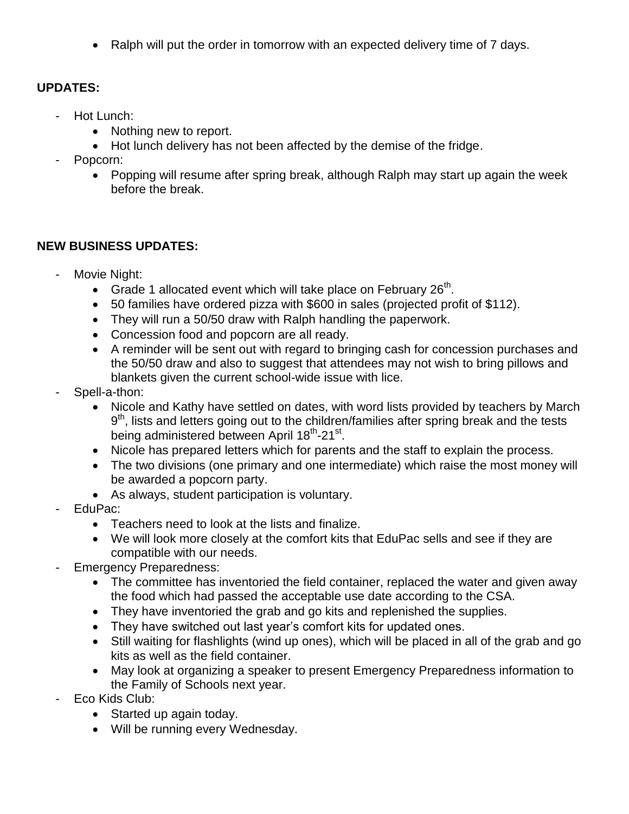• Ralph will put the order in tomorrow with an expected delivery time of 7 days.

## **UPDATES:**

- Hot Lunch:
	- Nothing new to report.
	- Hot lunch delivery has not been affected by the demise of the fridge.
- Popcorn:
	- Popping will resume after spring break, although Ralph may start up again the week before the break.

## **NEW BUSINESS UPDATES:**

- Movie Night:
	- Grade 1 allocated event which will take place on February  $26<sup>th</sup>$ .
	- 50 families have ordered pizza with \$600 in sales (projected profit of \$112).
	- They will run a 50/50 draw with Ralph handling the paperwork.
	- Concession food and popcorn are all ready.
	- A reminder will be sent out with regard to bringing cash for concession purchases and the 50/50 draw and also to suggest that attendees may not wish to bring pillows and blankets given the current school-wide issue with lice.
- Spell-a-thon:
	- Nicole and Kathy have settled on dates, with word lists provided by teachers by March 9<sup>th</sup>, lists and letters going out to the children/families after spring break and the tests being administered between April 18<sup>th</sup>-21<sup>st</sup>.
	- Nicole has prepared letters which for parents and the staff to explain the process.
	- The two divisions (one primary and one intermediate) which raise the most money will be awarded a popcorn party.
	- As always, student participation is voluntary.
- EduPac:
	- Teachers need to look at the lists and finalize.
	- We will look more closely at the comfort kits that EduPac sells and see if they are compatible with our needs.
- **Emergency Preparedness:** 
	- The committee has inventoried the field container, replaced the water and given away the food which had passed the acceptable use date according to the CSA.
	- They have inventoried the grab and go kits and replenished the supplies.
	- They have switched out last year's comfort kits for updated ones.
	- Still waiting for flashlights (wind up ones), which will be placed in all of the grab and go kits as well as the field container.
	- May look at organizing a speaker to present Emergency Preparedness information to the Family of Schools next year.
- Eco Kids Club:
	- Started up again today.
	- Will be running every Wednesday.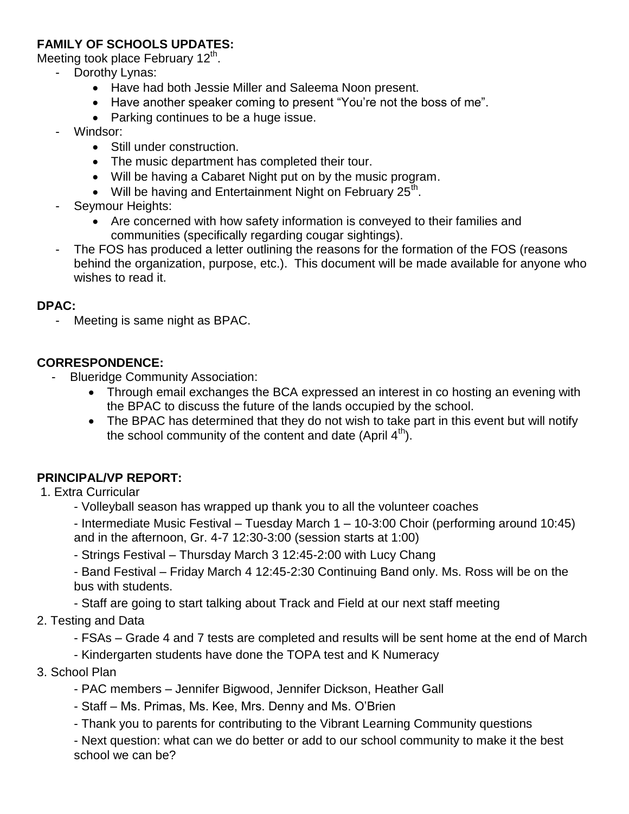### **FAMILY OF SCHOOLS UPDATES:**

Meeting took place February 12<sup>th</sup>.

- Dorothy Lynas:
	- Have had both Jessie Miller and Saleema Noon present.
	- Have another speaker coming to present "You're not the boss of me".
	- Parking continues to be a huge issue.
- Windsor:
	- Still under construction.
	- The music department has completed their tour.
	- Will be having a Cabaret Night put on by the music program.
	- Will be having and Entertainment Night on February  $25^{\text{th}}$ .
- Seymour Heights:
	- Are concerned with how safety information is conveyed to their families and communities (specifically regarding cougar sightings).
- The FOS has produced a letter outlining the reasons for the formation of the FOS (reasons behind the organization, purpose, etc.). This document will be made available for anyone who wishes to read it.

#### **DPAC:**

- Meeting is same night as BPAC.

### **CORRESPONDENCE:**

- Blueridge Community Association:
	- Through email exchanges the BCA expressed an interest in co hosting an evening with the BPAC to discuss the future of the lands occupied by the school.
	- The BPAC has determined that they do not wish to take part in this event but will notify the school community of the content and date (April  $4<sup>th</sup>$ ).

### **PRINCIPAL/VP REPORT:**

- 1. Extra Curricular
	- Volleyball season has wrapped up thank you to all the volunteer coaches
	- Intermediate Music Festival Tuesday March 1 10-3:00 Choir (performing around 10:45) and in the afternoon, Gr. 4-7 12:30-3:00 (session starts at 1:00)
	- Strings Festival Thursday March 3 12:45-2:00 with Lucy Chang

- Band Festival – Friday March 4 12:45-2:30 Continuing Band only. Ms. Ross will be on the bus with students.

- Staff are going to start talking about Track and Field at our next staff meeting
- 2. Testing and Data
	- FSAs Grade 4 and 7 tests are completed and results will be sent home at the end of March
	- Kindergarten students have done the TOPA test and K Numeracy
- 3. School Plan
	- PAC members Jennifer Bigwood, Jennifer Dickson, Heather Gall
	- Staff Ms. Primas, Ms. Kee, Mrs. Denny and Ms. O'Brien
	- Thank you to parents for contributing to the Vibrant Learning Community questions

- Next question: what can we do better or add to our school community to make it the best school we can be?